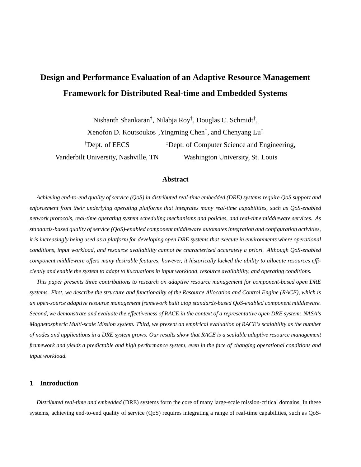# **Design and Performance Evaluation of an Adaptive Resource Management Framework for Distributed Real-time and Embedded Systems**

Nishanth Shankaran† , Nilabja Roy † , Douglas C. Schmidt† , Xenofon D. Koutsoukos† ,Yingming Chen‡ , and Chenyang Lu‡ <sup>†</sup>Dept. of EECS  ${}^{\ddagger}$ Dept. of Computer Science and Engineering, Vanderbilt University, Nashville, TN Washington University, St. Louis

# **Abstract**

Achieving end-to-end quality of service (QoS) in distributed real-time embedded (DRE) systems require QoS support and *enforcement from their underlying operating platforms that integrates many real-time capabilities, such as QoS-enabled network protocols, real-time operating system scheduling mechanisms and policies, and real-time middleware services. As standards-based quality of service (QoS)-enabled component middleware automates integration and configuration activities,* it is increasingly being used as a platform for developing open DRE systems that execute in environments where operational *conditions, input workload, and resource availability cannot be characterized accurately a priori. Although QoS-enabled* component middleware offers many desirable features, however, it historically lacked the ability to allocate resources efficiently and enable the system to adapt to fluctuations in input workload, resource availability, and operating conditions.

*This paper presents three contributions to research on adaptive resource management for component-based open DRE* systems. First, we describe the structure and functionality of the Resource Allocation and Control Engine (RACE), which is *an open-source adaptive resource management framework built atop standards-based QoS-enabled component middleware.* Second, we demonstrate and evaluate the effectiveness of RACE in the context of a representative open DRE system: NASA's Magnetospheric Multi-scale Mission system. Third, we present an empirical evaluation of RACE's scalability as the number of nodes and applications in a DRE system grows. Our results show that RACE is a scalable adaptive resource management framework and vields a predictable and high performance system, even in the face of changing operational conditions and *input workload.*

# **1 Introduction**

*Distributed real-time and embedded* (DRE) systems form the core of many large-scale mission-critical domains. In these systems, achieving end-to-end quality of service (QoS) requires integrating a range of real-time capabilities, such as QoS-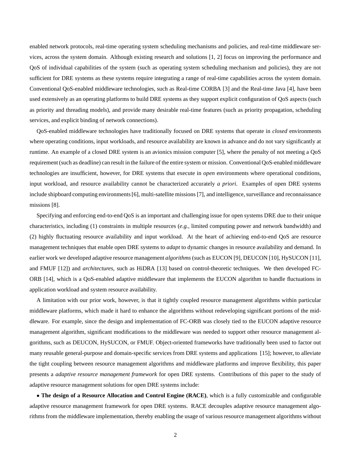enabled network protocols, real-time operating system scheduling mechanisms and policies, and real-time middleware services, across the system domain. Although existing research and solutions [1, 2] focus on improving the performance and QoS of individual capabilities of the system (such as operating system scheduling mechanism and policies), they are not sufficient for DRE systems as these systems require integrating a range of real-time capabilities across the system domain. Conventional QoS-enabled middleware technologies, such as Real-time CORBA [3] and the Real-time Java [4], have been used extensively as an operating platforms to build DRE systems as they support explicit configuration of QoS aspects (such as priority and threading models), and provide many desirable real-time features (such as priority propagation, scheduling services, and explicit binding of network connections).

QoS-enabled middleware technologies have traditionally focused on DRE systems that operate in *closed* environments where operating conditions, input workloads, and resource availability are known in advance and do not vary significantly at runtime. An example of a closed DRE system is an avionics mission computer [5], where the penalty of not meeting a QoS requirement(such as deadline) can result in the failure of the entire system or mission. Conventional QoS-enabled middleware technologies are insufficient, however, for DRE systems that execute in *open* environments where operational conditions, input workload, and resource availability cannot be characterized accurately *a priori*. Examples of open DRE systems include shipboard computing environments[6], multi-satellite missions [7], and intelligence, surveillance and reconnaissance missions [8].

Specifying and enforcing end-to-end QoS is an important and challenging issue for open systems DRE due to their unique characteristics, including (1) constraints in multiple resources (*e.g.*, limited computing power and network bandwidth) and (2) highly fluctuating resource availability and input workload. At the heart of achieving end-to-end QoS are resource management techniques that enable open DRE systems to *adapt* to dynamic changes in resource availability and demand. In earlier work we developed adaptive resource management *algorithms* (such as EUCON [9], DEUCON [10], HySUCON [11], and FMUF [12]) and *architectures*, such as HiDRA [13] based on control-theoretic techniques. We then developed FC-ORB [14], which is a QoS-enabled adaptive middleware that implements the EUCON algorithm to handle fluctuations in application workload and system resource availability.

A limitation with our prior work, however, is that it tightly coupled resource management algorithms within particular middleware platforms, which made it hard to enhance the algorithms without redeveloping significant portions of the middleware. For example, since the design and implementation of FC-ORB was closely tied to the EUCON adaptive resource management algorithm, significant modifications to the middleware was needed to support other resource management algorithms, such as DEUCON, HySUCON, or FMUF. Object-oriented frameworks have traditionally been used to factor out many reusable general-purpose and domain-specific services from DRE systems and applications [15]; however, to alleviate the tight coupling between resource management algorithms and middleware platforms and improve flexibility, this paper presents a *adaptive resource management framework* for open DRE systems. Contributions of this paper to the study of adaptive resource management solutions for open DRE systems include:

• **The design of a Resource Allocation and Control Engine (RACE)**, which is a fully customizable and configurable adaptive resource management framework for open DRE systems. RACE decouples adaptive resource management algorithms from the middleware implementation, thereby enabling the usage of various resource management algorithms without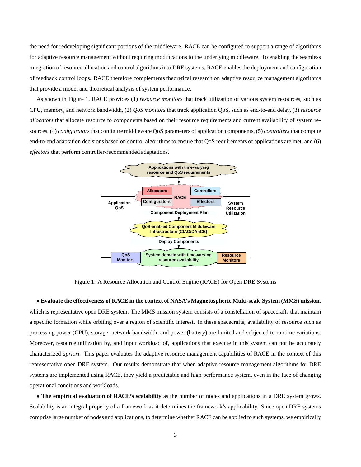the need for redeveloping significant portions of the middleware. RACE can be configured to support a range of algorithms for adaptive resource management without requiring modifications to the underlying middleware. To enabling the seamless integration of resource allocation and control algorithms into DRE systems, RACE enables the deployment and configuration of feedback control loops. RACE therefore complements theoretical research on adaptive resource management algorithms that provide a model and theoretical analysis of system performance.

As shown in Figure 1, RACE provides (1) *resource monitors* that track utilization of various system resources, such as CPU, memory, and network bandwidth, (2) *QoS monitors* that track application QoS, such as end-to-end delay, (3) *resource allocators* that allocate resource to components based on their resource requirements and current availability of system resources, (4) *configurators*that configure middleware QoS parameters of application components, (5) *controllers* that compute end-to-end adaptation decisions based on control algorithms to ensure that QoS requirements of applications are met, and (6) *effectors* that perform controller-recommended adaptations.



Figure 1: A Resource Allocation and Control Engine (RACE) for Open DRE Systems

• **Evaluate the effectiveness of RACE in the context of NASA's Magnetospheric Multi-scale System (MMS) mission**, which is representative open DRE system. The MMS mission system consists of a constellation of spacecrafts that maintain a specific formation while orbiting over a region of scientific interest. In these spacecrafts, availability of resource such as processing power (CPU), storage, network bandwidth, and power (battery) are limited and subjected to runtime variations. Moreover, resource utilization by, and input workload of, applications that execute in this system can not be accurately characterized *apriori.* This paper evaluates the adaptive resource management capabilities of RACE in the context of this representative open DRE system. Our results demonstrate that when adaptive resource management algorithms for DRE systems are implemented using RACE, they yield a predictable and high performance system, even in the face of changing operational conditions and workloads.

• **The empirical evaluation of RACE's scalability** as the number of nodes and applications in a DRE system grows. Scalability is an integral property of a framework as it determines the framework's applicability. Since open DRE systems comprise large number of nodes and applications, to determine whether RACE can be applied to such systems, we empirically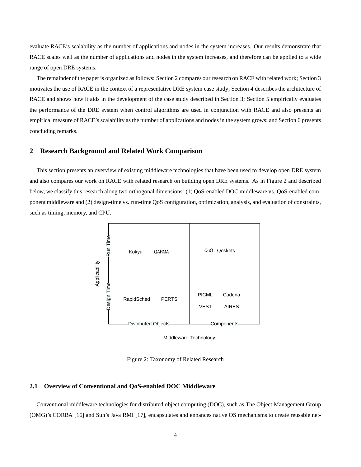evaluate RACE's scalability as the number of applications and nodes in the system increases. Our results demonstrate that RACE scales well as the number of applications and nodes in the system increases, and therefore can be applied to a wide range of open DRE systems.

The remainder of the paper is organized as follows: Section 2 compares our research on RACE with related work; Section 3 motivates the use of RACE in the context of a representative DRE system case study; Section 4 describes the architecture of RACE and shows how it aids in the development of the case study described in Section 3; Section 5 empirically evaluates the performance of the DRE system when control algorithms are used in conjunction with RACE and also presents an empirical measure of RACE's scalability as the number of applications and nodes in the system grows; and Section 6 presents concluding remarks.

## **2 Research Background and Related Work Comparison**

This section presents an overview of existing middleware technologies that have been used to develop open DRE system and also compares our work on RACE with related research on building open DRE systems. As in Figure 2 and described below, we classify this research along two orthogonal dimensions: (1) QoS-enabled DOC middleware vs. QoS-enabled component middleware and (2) design-time vs. run-time QoS configuration, optimization, analysis, and evaluation of constraints, such as timing, memory, and CPU.



Middleware Technology

Figure 2: Taxonomy of Related Research

## **2.1 Overview of Conventional and QoS-enabled DOC Middleware**

Conventional middleware technologies for distributed object computing (DOC), such as The Object Management Group (OMG)'s CORBA [16] and Sun's Java RMI [17], encapsulates and enhances native OS mechanisms to create reusable net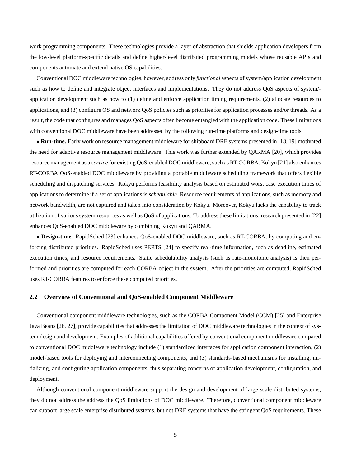work programming components. These technologies provide a layer of abstraction that shields application developers from the low-level platform-specific details and define higher-level distributed programming models whose reusable APIs and components automate and extend native OS capabilities.

Conventional DOC middleware technologies, however, address only *functional* aspects of system/application development such as how to define and integrate object interfaces and implementations. They do not address QoS aspects of system/ application development such as how to (1) define and enforce application timing requirements, (2) allocate resources to applications, and (3) configure OS and network QoS policies such as priorities for application processes and/or threads. As a result, the code that configures and manages QoS aspects often become entangled with the application code. These limitations with conventional DOC middleware have been addressed by the following run-time platforms and design-time tools:

• **Run-time.** Early work on resource management middleware for shipboard DRE systems presented in [18, 19] motivated the need for adaptive resource management middleware. This work was further extended by QARMA [20], which provides resource management as a *service* for existing QoS-enabled DOC middleware, such as RT-CORBA. Kokyu [21] also enhances RT-CORBA QoS-enabled DOC middleware by providing a portable middleware scheduling framework that offers flexible scheduling and dispatching services. Kokyu performs feasibility analysis based on estimated worst case execution times of applications to determine if a set of applications is *schedulable*. Resource requirements of applications, such as memory and network bandwidth, are not captured and taken into consideration by Kokyu. Moreover, Kokyu lacks the capability to track utilization of various system resources as well as QoS of applications. To address these limitations, research presented in [22] enhances QoS-enabled DOC middleware by combining Kokyu and QARMA.

• **Design-time.** RapidSched [23] enhances QoS-enabled DOC middleware, such as RT-CORBA, by computing and enforcing distributed priorities. RapidSched uses PERTS [24] to specify real-time information, such as deadline, estimated execution times, and resource requirements. Static schedulability analysis (such as rate-monotonic analysis) is then performed and priorities are computed for each CORBA object in the system. After the priorities are computed, RapidSched uses RT-CORBA features to enforce these computed priorities.

#### **2.2 Overview of Conventional and QoS-enabled Component Middleware**

Conventional component middleware technologies, such as the CORBA Component Model (CCM) [25] and Enterprise Java Beans [26, 27], provide capabilities that addresses the limitation of DOC middleware technologies in the context of system design and development. Examples of additional capabilities offered by conventional component middleware compared to conventional DOC middleware technology include (1) standardized interfaces for application component interaction, (2) model-based tools for deploying and interconnecting components, and (3) standards-based mechanisms for installing, initializing, and configuring application components, thus separating concerns of application development, configuration, and deployment.

Although conventional component middleware support the design and development of large scale distributed systems, they do not address the address the QoS limitations of DOC middleware. Therefore, conventional component middleware can support large scale enterprise distributed systems, but not DRE systems that have the stringent QoS requirements. These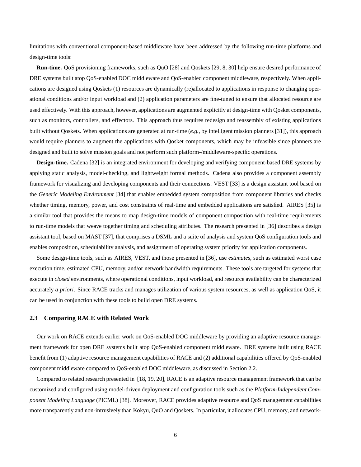limitations with conventional component-based middleware have been addressed by the following run-time platforms and design-time tools:

**Run-time.** QoS provisioning frameworks, such as QuO [28] and Qoskets [29, 8, 30] help ensure desired performance of DRE systems built atop QoS-enabled DOC middleware and QoS-enabled component middleware, respectively. When applications are designed using Qoskets (1) resources are dynamically (re)allocated to applications in response to changing operational conditions and/or input workload and (2) application parameters are fine-tuned to ensure that allocated resource are used effectively. With this approach, however, applications are augmented explicitly at design-time with Qosket components, such as monitors, controllers, and effectors. This approach thus requires redesign and reassembly of existing applications built without Qoskets. When applications are generated at run-time (*e.g.*, by intelligent mission planners [31]), this approach would require planners to augment the applications with Qosket components, which may be infeasible since planners are designed and built to solve mission goals and not perform such platform-/middleware-specific operations.

**Design-time.** Cadena [32] is an integrated environment for developing and verifying component-based DRE systems by applying static analysis, model-checking, and lightweight formal methods. Cadena also provides a component assembly framework for visualizing and developing components and their connections. VEST [33] is a design assistant tool based on the *Generic Modeling Environment* [34] that enables embedded system composition from component libraries and checks whether timing, memory, power, and cost constraints of real-time and embedded applications are satisfied. AIRES [35] is a similar tool that provides the means to map design-time models of component composition with real-time requirements to run-time models that weave together timing and scheduling attributes. The research presented in [36] describes a design assistant tool, based on MAST [37], that comprises a DSML and a suite of analysis and system QoS configuration tools and enables composition, schedulability analysis, and assignment of operating system priority for application components.

Some design-time tools, such as AIRES, VEST, and those presented in [36], use *estimates*, such as estimated worst case execution time, estimated CPU, memory, and/or network bandwidth requirements. These tools are targeted for systems that execute in *closed* environments, where operational conditions, input workload, and resource availability can be characterized accurately *a priori*. Since RACE tracks and manages utilization of various system resources, as well as application QoS, it can be used in conjunction with these tools to build open DRE systems.

## **2.3 Comparing RACE with Related Work**

Our work on RACE extends earlier work on QoS-enabled DOC middleware by providing an adaptive resource management framework for open DRE systems built atop QoS-enabled component middleware. DRE systems built using RACE benefit from (1) adaptive resource management capabilities of RACE and (2) additional capabilities offered by QoS-enabled component middleware compared to QoS-enabled DOC middleware, as discussed in Section 2.2.

Compared to related research presented in [18, 19, 20], RACE is an adaptive resource management framework that can be customized and configured using model-driven deployment and configuration tools such as the *Platform-Independent Component Modeling Language* (PICML) [38]. Moreover, RACE provides adaptive resource and QoS management capabilities more transparently and non-intrusively than Kokyu, QuO and Qoskets. In particular, it allocates CPU, memory, and network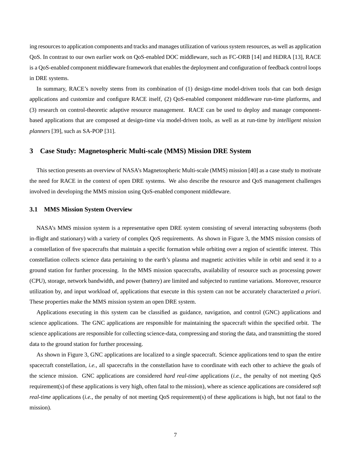ing resourcesto application components and tracks and manages utilization of varioussystem resources, as well as application QoS. In contrast to our own earlier work on QoS-enabled DOC middleware, such as FC-ORB [14] and HiDRA [13], RACE is a QoS-enabled component middleware framework that enables the deployment and configuration of feedback control loops in DRE systems.

In summary, RACE's novelty stems from its combination of (1) design-time model-driven tools that can both design applications and customize and configure RACE itself, (2) QoS-enabled component middleware run-time platforms, and (3) research on control-theoretic adaptive resource management. RACE can be used to deploy and manage componentbased applications that are composed at design-time via model-driven tools, as well as at run-time by *intelligent mission planners* [39], such as SA-POP [31].

## **3 Case Study: Magnetospheric Multi-scale (MMS) Mission DRE System**

This section presents an overview of NASA's Magnetospheric Multi-scale (MMS) mission [40] as a case study to motivate the need for RACE in the context of open DRE systems. We also describe the resource and QoS management challenges involved in developing the MMS mission using QoS-enabled component middleware.

#### **3.1 MMS Mission System Overview**

NASA's MMS mission system is a representative open DRE system consisting of several interacting subsystems (both in-flight and stationary) with a variety of complex QoS requirements. As shown in Figure 3, the MMS mission consists of a constellation of five spacecrafts that maintain a specific formation while orbiting over a region of scientific interest. This constellation collects science data pertaining to the earth's plasma and magnetic activities while in orbit and send it to a ground station for further processing. In the MMS mission spacecrafts, availability of resource such as processing power (CPU), storage, network bandwidth, and power (battery) are limited and subjected to runtime variations. Moreover, resource utilization by, and input workload of, applications that execute in this system can not be accurately characterized *a priori*. These properties make the MMS mission system an open DRE system.

Applications executing in this system can be classified as guidance, navigation, and control (GNC) applications and science applications. The GNC applications are responsible for maintaining the spacecraft within the specified orbit. The science applications are responsible for collecting science-data, compressing and storing the data, and transmitting the stored data to the ground station for further processing.

As shown in Figure 3, GNC applications are localized to a single spacecraft. Science applications tend to span the entire spacecraft constellation, *i.e.*, all spacecrafts in the constellation have to coordinate with each other to achieve the goals of the science mission. GNC applications are considered *hard real-time* applications (*i.e.*, the penalty of not meeting QoS requirement(s) of these applications is very high, often fatal to the mission), where as science applications are considered *soft real-time* applications (*i.e.*, the penalty of not meeting QoS requirement(s) of these applications is high, but not fatal to the mission).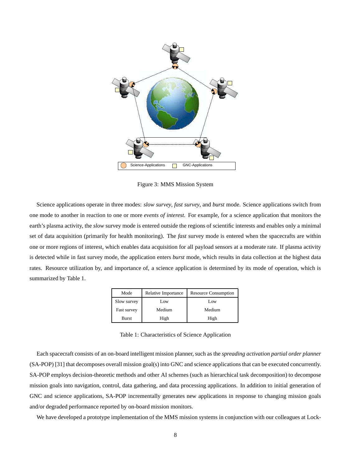

Figure 3: MMS Mission System

Science applications operate in three modes: *slow survey*, *fast survey*, and *burst* mode. Science applications switch from one mode to another in reaction to one or more *events of interest*. For example, for a science application that monitors the earth's plasma activity, the *slow* survey mode is entered outside the regions of scientific interests and enables only a minimal set of data acquisition (primarily for health monitoring). The *fast* survey mode is entered when the spacecrafts are within one or more regions of interest, which enables data acquisition for all payload sensors at a moderate rate. If plasma activity is detected while in fast survey mode, the application enters *burst* mode, which results in data collection at the highest data rates. Resource utilization by, and importance of, a science application is determined by its mode of operation, which is summarized by Table 1.

| Mode        | Relative Importance | <b>Resource Consumption</b> |  |  |
|-------------|---------------------|-----------------------------|--|--|
| Slow survey | Low                 | Low                         |  |  |
| Fast survey | Medium              | Medium                      |  |  |
| Burst       | High                | High                        |  |  |

Table 1: Characteristics of Science Application

Each spacecraft consists of an on-board intelligent mission planner, such as the *spreading activation partial order planner* (SA-POP) [31] that decomposes overall mission goal(s) into GNC and science applications that can be executed concurrently. SA-POP employs decision-theoretic methods and other AI schemes (such as hierarchical task decomposition) to decompose mission goals into navigation, control, data gathering, and data processing applications. In addition to initial generation of GNC and science applications, SA-POP incrementally generates new applications in response to changing mission goals and/or degraded performance reported by on-board mission monitors.

We have developed a prototype implementation of the MMS mission systems in conjunction with our colleagues at Lock-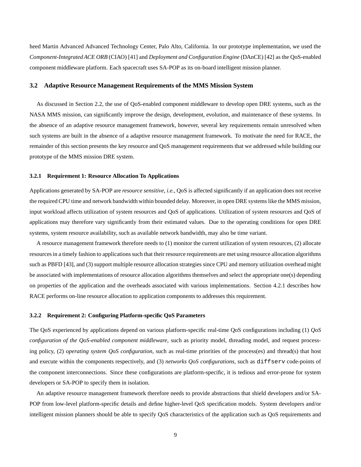heed Martin Advanced Advanced Technology Center, Palo Alto, California. In our prototype implementation, we used the *Component-Integrated ACE ORB* (CIAO) [41] and *Deployment and Configuration Engine* (DAnCE) [42] as the QoS-enabled component middleware platform. Each spacecraft uses SA-POP as its on-board intelligent mission planner.

#### **3.2 Adaptive Resource Management Requirements of the MMS Mission System**

As discussed in Section 2.2, the use of QoS-enabled component middleware to develop open DRE systems, such as the NASA MMS mission, can significantly improve the design, development, evolution, and maintenance of these systems. In the absence of an adaptive resource management framework, however, several key requirements remain unresolved when such systems are built in the absence of a adaptive resource management framework. To motivate the need for RACE, the remainder of this section presents the key resource and QoS management requirements that we addressed while building our prototype of the MMS mission DRE system.

#### **3.2.1 Requirement 1: Resource Allocation To Applications**

Applications generated by SA-POP are *resource sensitive*, *i.e.*, QoS is affected significantly if an application does not receive the required CPU time and network bandwidth within bounded delay. Moreover, in open DRE systems like the MMS mission, input workload affects utilization of system resources and QoS of applications. Utilization of system resources and QoS of applications may therefore vary significantly from their estimated values. Due to the operating conditions for open DRE systems, system resource availability, such as available network bandwidth, may also be time variant.

A resource management framework therefore needs to (1) monitor the current utilization of system resources, (2) allocate resourcesin a timely fashion to applicationssuch that their resource requirements are met using resource allocation algorithms such as PBFD [43], and (3) support multiple resource allocation strategies since CPU and memory utilization overhead might be associated with implementations of resource allocation algorithms themselves and select the appropriate one(s) depending on properties of the application and the overheads associated with various implementations. Section 4.2.1 describes how RACE performs on-line resource allocation to application components to addresses this requirement.

#### **3.2.2 Requirement 2: Configuring Platform-specific QoS Parameters**

The QoS experienced by applications depend on various platform-specific real-time QoS configurations including (1) *QoS configuration of the QoS-enabled component middleware*, such as priority model, threading model, and request processing policy, (2) *operating system QoS configuration*, such as real-time priorities of the process(es) and thread(s) that host and execute within the components respectively, and (3) *networks QoS configurations*, such as diffserv code-points of the component interconnections. Since these configurations are platform-specific, it is tedious and error-prone for system developers or SA-POP to specify them in isolation.

An adaptive resource management framework therefore needs to provide abstractions that shield developers and/or SA-POP from low-level platform-specific details and define higher-level QoS specification models. System developers and/or intelligent mission planners should be able to specify QoS characteristics of the application such as QoS requirements and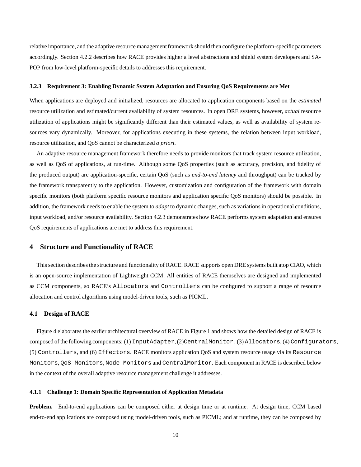relative importance, and the adaptive resource managementframework should then configure the platform-specific parameters accordingly. Section 4.2.2 describes how RACE provides higher a level abstractions and shield system developers and SA-POP from low-level platform-specific details to addresses this requirement.

#### **3.2.3 Requirement 3: Enabling Dynamic System Adaptation and Ensuring QoS Requirements are Met**

When applications are deployed and initialized, resources are allocated to application components based on the *estimated* resource utilization and estimated/current availability of system resources. In open DRE systems, however, *actual* resource utilization of applications might be significantly different than their estimated values, as well as availability of system resources vary dynamically. Moreover, for applications executing in these systems, the relation between input workload, resource utilization, and QoS cannot be characterized *a priori*.

An adaptive resource management framework therefore needs to provide monitors that track system resource utilization, as well as QoS of applications, at run-time. Although some QoS properties (such as accuracy, precision, and fidelity of the produced output) are application-specific, certain QoS (such as *end-to-end latency* and throughput) can be tracked by the framework transparently to the application. However, customization and configuration of the framework with domain specific monitors (both platform specific resource monitors and application specific QoS monitors) should be possible. In addition, the framework needs to enable the system to *adapt* to dynamic changes, such as variations in operational conditions, input workload, and/or resource availability. Section 4.2.3 demonstrates how RACE performs system adaptation and ensures QoS requirements of applications are met to address this requirement.

## **4 Structure and Functionality of RACE**

This section describes the structure and functionality of RACE. RACE supports open DRE systems built atop CIAO, which is an open-source implementation of Lightweight CCM. All entities of RACE themselves are designed and implemented as CCM components, so RACE's Allocators and Controllers can be configured to support a range of resource allocation and control algorithms using model-driven tools, such as PICML.

#### **4.1 Design of RACE**

Figure 4 elaborates the earlier architectural overview of RACE in Figure 1 and shows how the detailed design of RACE is composed of the following components: (1) InputAdapter, (2)CentralMonitor, (3) Allocators, (4) Configurators, (5) Controllers, and (6) Effectors. RACE monitors application QoS and system resource usage via its Resource Monitors, QoS-Monitors, Node Monitors and CentralMonitor. Each component in RACE is described below in the context of the overall adaptive resource management challenge it addresses.

## **4.1.1 Challenge 1: Domain Specific Representation of Application Metadata**

**Problem.** End-to-end applications can be composed either at design time or at runtime. At design time, CCM based end-to-end applications are composed using model-driven tools, such as PICML; and at runtime, they can be composed by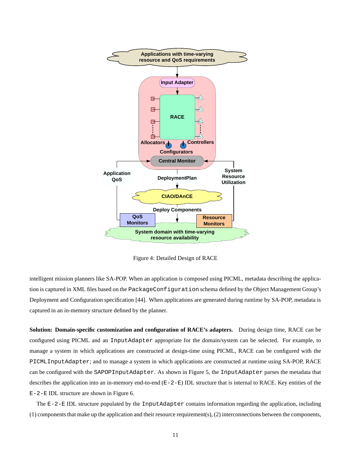

Figure 4: Detailed Design of RACE

intelligent mission planners like SA-POP. When an application is composed using PICML, metadata describing the application is captured in XML files based on the PackageConfiguration schema defined by the Object Management Group's Deployment and Configuration specification [44]. When applications are generated during runtime by SA-POP, metadata is captured in an in-memory structure defined by the planner.

**Solution: Domain-specific customization and configuration of RACE's adapters.** During design time, RACE can be configured using PICML and an InputAdapter appropriate for the domain/system can be selected. For example, to manage a system in which applications are constructed at design-time using PICML, RACE can be configured with the PICMLInputAdapter; and to manage a system in which applications are constructed at runtime using SA-POP, RACE can be configured with the SAPOPInputAdapter. As shown in Figure 5, the InputAdapter parses the metadata that describes the application into an in-memory end-to-end  $(E-2-E)$  IDL structure that is internal to RACE. Key entities of the  $E - 2 - E$  IDL structure are shown in Figure 6.

The  $E-2-E$  IDL structure populated by the InputAdapter contains information regarding the application, including  $(1)$  components that make up the application and their resource requirement(s),  $(2)$  interconnections between the components,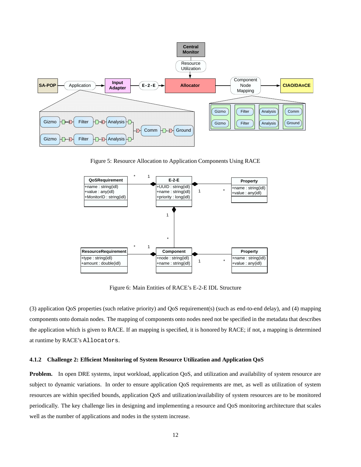

Figure 5: Resource Allocation to Application Components Using RACE



Figure 6: Main Entities of RACE's E-2-E IDL Structure

(3) application QoS properties (such relative priority) and QoS requirement(s) (such as end-to-end delay), and (4) mapping components onto domain nodes. The mapping of components onto nodes need not be specified in the metadata that describes the application which is given to RACE. If an mapping is specified, it is honored by RACE; if not, a mapping is determined at runtime by RACE's Allocators.

## **4.1.2 Challenge 2: Efficient Monitoring of System Resource Utilization and Application QoS**

**Problem.** In open DRE systems, input workload, application OoS, and utilization and availability of system resource are subject to dynamic variations. In order to ensure application QoS requirements are met, as well as utilization of system resources are within specified bounds, application QoS and utilization/availability of system resources are to be monitored periodically. The key challenge lies in designing and implementing a resource and QoS monitoring architecture that scales well as the number of applications and nodes in the system increase.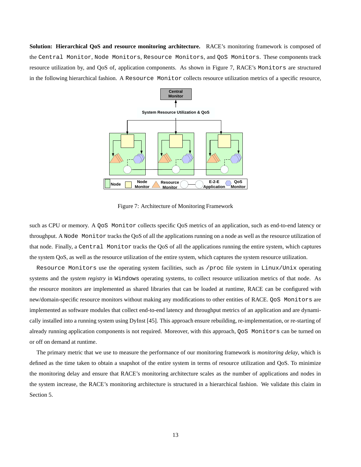**Solution: Hierarchical QoS and resource monitoring architecture.** RACE's monitoring framework is composed of the Central Monitor, Node Monitors, Resource Monitors, and QoS Monitors. These components track resource utilization by, and QoS of, application components. As shown in Figure 7, RACE's Monitors are structured in the following hierarchical fashion. A Resource Monitor collects resource utilization metrics of a specific resource,



Figure 7: Architecture of Monitoring Framework

such as CPU or memory. A QoS Monitor collects specific QoS metrics of an application, such as end-to-end latency or throughput. A Node Monitor tracks the QoS of all the applications running on a node as well as the resource utilization of that node. Finally, a Central Monitor tracks the QoS of all the applications running the entire system, which captures the system QoS, as well as the resource utilization of the entire system, which captures the system resource utilization.

Resource Monitors use the operating system facilities, such as /proc file system in Linux/Unix operating systems and the *system registry* in Windows operating systems, to collect resource utilization metrics of that node. As the resource monitors are implemented as shared libraries that can be loaded at runtime, RACE can be configured with new/domain-specific resource monitors without making any modifications to other entities of RACE. QoS Monitors are implemented as software modules that collect end-to-end latency and throughput metrics of an application and are dynamically installed into a running system using DyInst [45]. This approach ensure rebuilding, re-implementation, or re-starting of already running application components is not required. Moreover, with this approach, QoS Monitors can be turned on or off on demand at runtime.

The primary metric that we use to measure the performance of our monitoring framework is *monitoring delay*, which is defined as the time taken to obtain a snapshot of the entire system in terms of resource utilization and QoS. To minimize the monitoring delay and ensure that RACE's monitoring architecture scales as the number of applications and nodes in the system increase, the RACE's monitoring architecture is structured in a hierarchical fashion. We validate this claim in Section 5.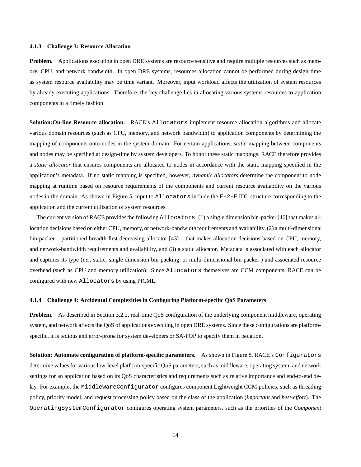#### **4.1.3 Challenge 3: Resource Allocation**

**Problem.** Applications executing in open DRE systems are resource sensitive and require multiple resources such as memory, CPU, and network bandwidth. In open DRE systems, resources allocation cannot be performed during design time as system resource availability may be time variant. Moreover, input workload affects the utilization of system resources by already executing applications. Therefore, the key challenge lies in allocating various systems resources to application components in a timely fashion.

**Solution:On-line Resource allocation.** RACE's Allocators implement resource allocation algorithms and allocate various domain resources (such as CPU, memory, and network bandwidth) to application components by determining the mapping of components onto nodes in the system domain. For certain applications, *static* mapping between components and nodes may be specified at design-time by system developers. To honor these static mappings, RACE therefore provides a *static allocator* that ensures components are allocated to nodes in accordance with the static mapping specified in the application's metadata. If no static mapping is specified, however, *dynamic allocators* determine the component to node mapping at runtime based on resource requirements of the components and current resource availability on the various nodes in the domain. As shown in Figure 5, input to Allocators include the E-2-E IDL structure corresponding to the application and the current utilization of system resources.

The current version of RACE provides the following  $\text{Allocators: (1) }$  a single dimension bin-packer [46] that makes allocation decisions based on either CPU, memory, or network-bandwidth requirements and availability, (2) a multi-dimensional bin-packer – partitioned breadth first decreasing allocator [43] – that makes allocation decisions based on CPU, memory, and network-bandwidth requirements and availability, and (3) a static allocator. Metadata is associated with each allocator and captures its type (*i.e.*, static, single dimension bin-packing, or multi-dimensional bin-packer ) and associated resource overhead (such as CPU and memory utilization). Since Allocators themselves are CCM components, RACE can be configured with new Allocators by using PICML.

#### **4.1.4 Challenge 4: Accidental Complexities in Configuring Platform-specific QoS Parameters**

**Problem.** As described in Section 3.2.2, real-time QoS configuration of the underlying component middleware, operating system, and network affects the QoS of applications executing in open DRE systems. Since these configurations are platformspecific, it is tedious and error-prone for system developers or SA-POP to specify them in isolation.

**Solution: Automate configuration of platform-specific parameters.** As shown in Figure 8, RACE's Configurators determine values for various low-level platform-specific QoS parameters, such as middleware, operating system, and network settings for an application based on its QoS characteristics and requirements such as relative importance and end-to-end delay. For example, the MiddlewareConfigurator configures component Lightweight CCM policies, such as threading policy, priority model, and request processing policy based on the class of the application (*important* and *best-effort*). The OperatingSystemConfigurator configures operating system parameters, such as the priorities of the *Component*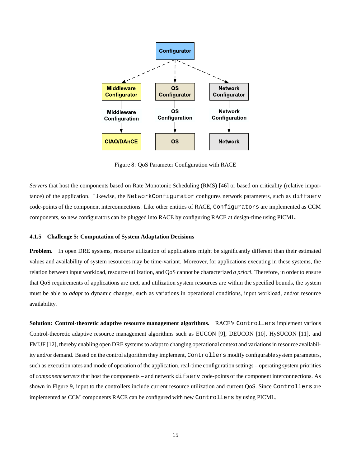

Figure 8: QoS Parameter Configuration with RACE

*Servers* that host the components based on Rate Monotonic Scheduling (RMS) [46] or based on criticality (relative importance) of the application. Likewise, the NetworkConfigurator configures network parameters, such as diffserv code-points of the component interconnections. Like other entities of RACE, Configurators are implemented as CCM components, so new configurators can be plugged into RACE by configuring RACE at design-time using PICML.

#### **4.1.5 Challenge 5: Computation of System Adaptation Decisions**

**Problem.** In open DRE systems, resource utilization of applications might be significantly different than their estimated values and availability of system resources may be time-variant. Moreover, for applications executing in these systems, the relation between input workload, resource utilization, and QoS cannot be characterized *a priori*. Therefore, in order to ensure that QoS requirements of applications are met, and utilization system resources are within the specified bounds, the system must be able to *adapt* to dynamic changes, such as variations in operational conditions, input workload, and/or resource availability.

**Solution: Control-theoretic adaptive resource management algorithms.** RACE's Controllers implement various Control-theoretic adaptive resource management algorithms such as EUCON [9], DEUCON [10], HySUCON [11], and FMUF [12], thereby enabling open DRE systems to adapt to changing operational context and variationsin resource availability and/or demand. Based on the control algorithm they implement, Controllers modify configurable system parameters, such as execution rates and mode of operation of the application, real-time configuration settings – operating system priorities of *component servers* that host the components – and network difserv code-points of the component interconnections. As shown in Figure 9, input to the controllers include current resource utilization and current QoS. Since Controllers are implemented as CCM components RACE can be configured with new Controllers by using PICML.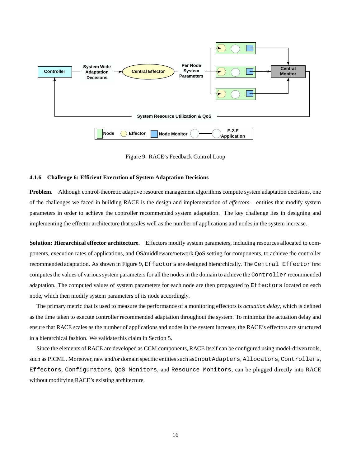

Figure 9: RACE's Feedback Control Loop

#### **4.1.6 Challenge 6: Efficient Execution of System Adaptation Decisions**

**Problem.** Although control-theoretic adaptive resource management algorithms compute system adaptation decisions, one of the challenges we faced in building RACE is the design and implementation of *effectors* – entities that modify system parameters in order to achieve the controller recommended system adaptation. The key challenge lies in designing and implementing the effector architecture that scales well as the number of applications and nodes in the system increase.

**Solution: Hierarchical effector architecture.** Effectors modify system parameters, including resources allocated to components, execution rates of applications, and OS/middleware/network QoS setting for components, to achieve the controller recommended adaptation. As shown in Figure 9, Effectors are designed hierarchically. The Central Effector first computes the values of various system parameters for all the nodes in the domain to achieve the Controller recommended adaptation. The computed values of system parameters for each node are then propagated to Effectors located on each node, which then modify system parameters of its node accordingly.

The primary metric that is used to measure the performance of a monitoring effectors is *actuation delay*, which is defined as the time taken to execute controller recommended adaptation throughout the system. To minimize the actuation delay and ensure that RACE scales as the number of applications and nodes in the system increase, the RACE's effectors are structured in a hierarchical fashion. We validate this claim in Section 5.

Since the elements of RACE are developed as CCM components, RACE itself can be configured using model-driven tools, such as PICML. Moreover, new and/or domain specific entities such asInputAdapters, Allocators, Controllers, Effectors, Configurators, QoS Monitors, and Resource Monitors, can be plugged directly into RACE without modifying RACE's existing architecture.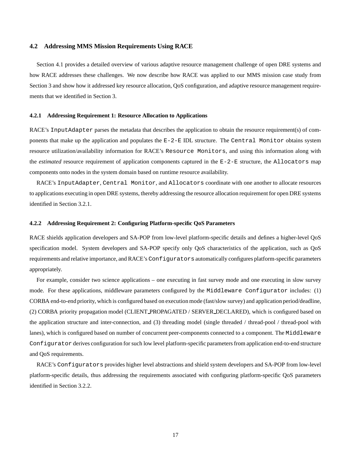## **4.2 Addressing MMS Mission Requirements Using RACE**

Section 4.1 provides a detailed overview of various adaptive resource management challenge of open DRE systems and how RACE addresses these challenges. We now describe how RACE was applied to our MMS mission case study from Section 3 and show how it addressed key resource allocation, QoS configuration, and adaptive resource management requirements that we identified in Section 3.

#### **4.2.1 Addressing Requirement 1: Resource Allocation to Applications**

RACE's InputAdapter parses the metadata that describes the application to obtain the resource requirement(s) of components that make up the application and populates the  $E-2-E$  IDL structure. The Central Monitor obtains system resource utilization/availability information for RACE's Resource Monitors, and using this information along with the *estimated* resource requirement of application components captured in the E-2-E structure, the Allocators map components onto nodes in the system domain based on runtime resource availability.

RACE's InputAdapter, Central Monitor, and Allocators coordinate with one another to allocate resources to applications executing in open DRE systems, thereby addressing the resource allocation requirement for open DRE systems identified in Section 3.2.1.

## **4.2.2 Addressing Requirement 2: Configuring Platform-specific QoS Parameters**

RACE shields application developers and SA-POP from low-level platform-specific details and defines a higher-level QoS specification model. System developers and SA-POP specify only QoS characteristics of the application, such as QoS requirements and relative importance, and RACE's Configurators automatically configures platform-specific parameters appropriately.

For example, consider two science applications – one executing in fast survey mode and one executing in slow survey mode. For these applications, middleware parameters configured by the Middleware Configurator includes: (1) CORBA end-to-end priority, which is configured based on execution mode (fast/slow survey) and application period/deadline, (2) CORBA priority propagation model (CLIENT PROPAGATED / SERVER DECLARED), which is configured based on the application structure and inter-connection, and (3) threading model (single threaded / thread-pool / thread-pool with lanes), which is configured based on number of concurrent peer-components connected to a component. The Middleware Configurator derives configuration for such low level platform-specific parametersfrom application end-to-end structure and QoS requirements.

RACE's Configurators provides higher level abstractions and shield system developers and SA-POP from low-level platform-specific details, thus addressing the requirements associated with configuring platform-specific QoS parameters identified in Section 3.2.2.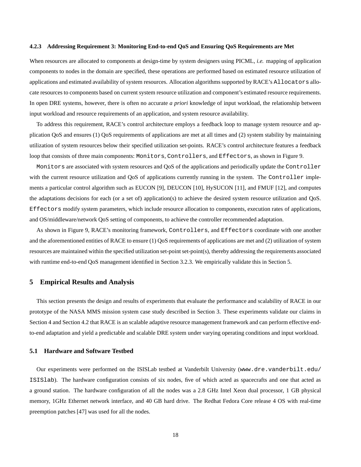#### **4.2.3 Addressing Requirement 3: Monitoring End-to-end QoS and Ensuring QoS Requirements are Met**

When resources are allocated to components at design-time by system designers using PICML, *i.e.* mapping of application components to nodes in the domain are specified, these operations are performed based on estimated resource utilization of applications and estimated availability of system resources. Allocation algorithms supported by RACE's Allocators allocate resources to components based on current system resource utilization and component's estimated resource requirements. In open DRE systems, however, there is often no accurate *a priori* knowledge of input workload, the relationship between input workload and resource requirements of an application, and system resource availability.

To address this requirement, RACE's control architecture employs a feedback loop to manage system resource and application QoS and ensures (1) QoS requirements of applications are met at all times and (2) system stability by maintaining utilization of system resources below their specified utilization set-points. RACE's control architecture features a feedback loop that consists of three main components: Monitors, Controllers, and Effectors, as shown in Figure 9.

Monitors are associated with system resources and QoS of the applications and periodically update the Controller with the current resource utilization and QoS of applications currently running in the system. The Controller implements a particular control algorithm such as EUCON [9], DEUCON [10], HySUCON [11], and FMUF [12], and computes the adaptations decisions for each (or a set of) application(s) to achieve the desired system resource utilization and QoS. Effectors modify system parameters, which include resource allocation to components, execution rates of applications, and OS/middleware/network QoS setting of components, to achieve the controller recommended adaptation.

As shown in Figure 9, RACE's monitoring framework, Controllers, and Effectors coordinate with one another and the aforementioned entities of RACE to ensure (1) QoS requirements of applications are met and (2) utilization of system resources are maintained within the specified utilization set-point set-point(s), thereby addressing the requirements associated with runtime end-to-end QoS management identified in Section 3.2.3. We empirically validate this in Section 5.

# **5 Empirical Results and Analysis**

This section presents the design and results of experiments that evaluate the performance and scalability of RACE in our prototype of the NASA MMS mission system case study described in Section 3. These experiments validate our claims in Section 4 and Section 4.2 that RACE is an scalable adaptive resource management framework and can perform effective endto-end adaptation and yield a predictable and scalable DRE system under varying operating conditions and input workload.

## **5.1 Hardware and Software Testbed**

Our experiments were performed on the ISISLab testbed at Vanderbilt University (www.dre.vanderbilt.edu/ ISISlab). The hardware configuration consists of six nodes, five of which acted as spacecrafts and one that acted as a ground station. The hardware configuration of all the nodes was a 2.8 GHz Intel Xeon dual processor, 1 GB physical memory, 1GHz Ethernet network interface, and 40 GB hard drive. The Redhat Fedora Core release 4 OS with real-time preemption patches [47] was used for all the nodes.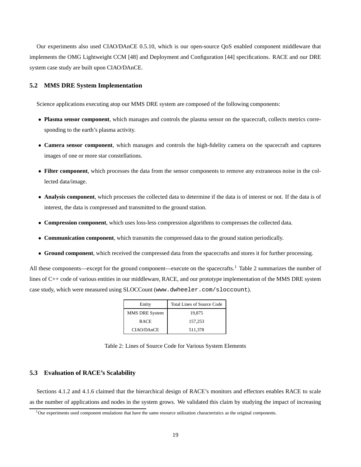Our experiments also used CIAO/DAnCE 0.5.10, which is our open-source QoS enabled component middleware that implements the OMG Lightweight CCM [48] and Deployment and Configuration [44] specifications. RACE and our DRE system case study are built upon CIAO/DAnCE.

## **5.2 MMS DRE System Implementation**

Science applications executing atop our MMS DRE system are composed of the following components:

- **Plasma sensor component**, which manages and controls the plasma sensor on the spacecraft, collects metrics corresponding to the earth's plasma activity.
- **Camera sensor component**, which manages and controls the high-fidelity camera on the spacecraft and captures images of one or more star constellations.
- **Filter component**, which processes the data from the sensor components to remove any extraneous noise in the collected data/image.
- **Analysis component**, which processes the collected data to determine if the data is of interest or not. If the data is of interest, the data is compressed and transmitted to the ground station.
- **Compression component**, which uses loss-less compression algorithms to compresses the collected data.
- **Communication component**, which transmits the compressed data to the ground station periodically.
- **Ground component**, which received the compressed data from the spacecrafts and stores it for further processing.

All these components—except for the ground component—execute on the spacecrafts.<sup>1</sup> Table 2 summarizes the number of lines of C++ code of various entities in our middleware, RACE, and our prototype implementation of the MMS DRE system case study, which were measured using SLOCCount (www.dwheeler.com/sloccount).

| Entity         | <b>Total Lines of Source Code</b> |  |  |  |
|----------------|-----------------------------------|--|--|--|
| MMS DRE System | 19.875                            |  |  |  |
| <b>RACE</b>    | 157.253                           |  |  |  |
| CIAO/DAnCE     | 511,378                           |  |  |  |

Table 2: Lines of Source Code for Various System Elements

## **5.3 Evaluation of RACE's Scalability**

Sections 4.1.2 and 4.1.6 claimed that the hierarchical design of RACE's monitors and effectors enables RACE to scale as the number of applications and nodes in the system grows. We validated this claim by studying the impact of increasing

 $1$ Our experiments used component emulations that have the same resource utilization characteristics as the original components.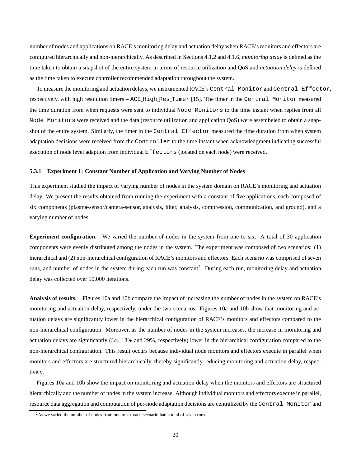number of nodes and applications on RACE's monitoring delay and actuation delay when RACE's monitors and effectors are configured hierarchically and non-hierarchically. As described in Sections 4.1.2 and 4.1.6, *monitoring delay* is defined as the time taken to obtain a snapshot of the entire system in terms of resource utilization and QoS and *actuation delay* is defined as the time taken to execute controller recommended adaptation throughout the system.

To measure the monitoring and actuation delays, we instrumentedRACE's Central Monitor and Central Effector, respectively, with high resolution timers – ACE High Res Timer [15]. The timer in the Central Monitor measured the time duration from when requests were sent to individual Node Monitors to the time instant when replies from all Node Monitors were received and the data (resource utilization and application QoS) were assembeled to obtain a snapshot of the entire system. Similarly, the timer in the Central Effector measured the time duration from when system adaptation decisions were received from the Controller to the time instant when acknowledgment indicating successful execution of node level adaption from individual Effectors (located on each node) were received.

## **5.3.1 Experiment 1: Constant Number of Application and Varying Number of Nodes**

This experiment studied the impact of varying number of nodes in the system domain on RACE's monitoring and actuation delay. We present the results obtained from running the experiment with a constant of five applications, each composed of six components (plasma-sensor/camera-sensor, analysis, filter, analysis, compression, communication, and ground), and a varying number of nodes.

**Experiment configuration.** We varied the number of nodes in the system from one to six. A total of 30 application components were evenly distributed among the nodes in the system. The experiment was composed of two scenarios: (1) hierarchical and (2) non-hierarchical configuration of RACE's monitors and effectors. Each scenario was comprised of seven runs, and number of nodes in the system during each run was constant<sup>2</sup>. During each run, monitoring delay and actuation delay was collected over 50,000 iterations.

**Analysis of results.** Figures 10a and 10b compare the impact of increasing the number of nodes in the system on RACE's monitoring and actuation delay, respectively, under the two scenarios. Figures 10a and 10b show that monitoring and actuation delays are significantly lower in the hierarchical configuration of RACE's monitors and effectors compared to the non-hierarchical configuration. Moreover, as the number of nodes in the system increases, the increase in monitoring and actuation delays are significantly (*i.e.*, 18% and 29%, respectively) lower in the hierarchical configuration compared to the non-hierarchical configuration. This result occurs because individual node monitors and effectors execute in parallel when monitors and effectors are structured hierarchically, thereby significantly reducing monitoring and actuation delay, respectively.

Figures 10a and 10b show the impact on monitoring and actuation delay when the monitors and effectors are structured hierarchically and the number of nodes in the system increase. Although individual monitors and effectors execute in parallel, resource data aggregation and computation of per-node adaptation decisions are centralized by the Central Monitor and

<sup>&</sup>lt;sup>2</sup>As we varied the number of nodes from one to six each scenario had a total of seven runs.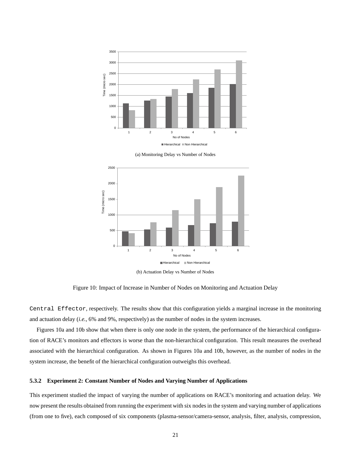





Figure 10: Impact of Increase in Number of Nodes on Monitoring and Actuation Delay

Central Effector, respectively. The results show that this configuration yields a marginal increase in the monitoring and actuation delay (*i.e.*, 6% and 9%, respectively) as the number of nodes in the system increases.

Figures 10a and 10b show that when there is only one node in the system, the performance of the hierarchical configuration of RACE's monitors and effectors is worse than the non-hierarchical configuration. This result measures the overhead associated with the hierarchical configuration. As shown in Figures 10a and 10b, however, as the number of nodes in the system increase, the benefit of the hierarchical configuration outweighs this overhead.

## **5.3.2 Experiment 2: Constant Number of Nodes and Varying Number of Applications**

This experiment studied the impact of varying the number of applications on RACE's monitoring and actuation delay. We now present the results obtained from running the experiment with six nodesin the system and varying number of applications (from one to five), each composed of six components (plasma-sensor/camera-sensor, analysis, filter, analysis, compression,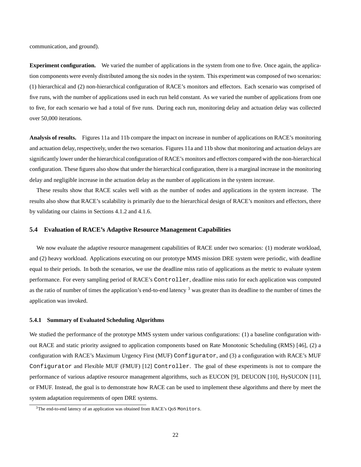communication, and ground).

**Experiment configuration.** We varied the number of applications in the system from one to five. Once again, the application components were evenly distributed among the six nodes in the system. This experiment was composed of two scenarios: (1) hierarchical and (2) non-hierarchical configuration of RACE's monitors and effectors. Each scenario was comprised of five runs, with the number of applications used in each run held constant. As we varied the number of applications from one to five, for each scenario we had a total of five runs. During each run, monitoring delay and actuation delay was collected over 50,000 iterations.

**Analysis of results.** Figures 11a and 11b compare the impact on increase in number of applications on RACE's monitoring and actuation delay, respectively, under the two scenarios. Figures 11a and 11b show that monitoring and actuation delays are significantly lower under the hierarchical configuration of RACE's monitors and effectors compared with the non-hierarchical configuration. These figures also show that under the hierarchical configuration, there is a marginal increase in the monitoring delay and negligible increase in the actuation delay as the number of applications in the system increase.

These results show that RACE scales well with as the number of nodes and applications in the system increase. The results also show that RACE's scalability is primarily due to the hierarchical design of RACE's monitors and effectors, there by validating our claims in Sections 4.1.2 and 4.1.6.

## **5.4 Evaluation of RACE's Adaptive Resource Management Capabilities**

We now evaluate the adaptive resource management capabilities of RACE under two scenarios: (1) moderate workload, and (2) heavy workload. Applications executing on our prototype MMS mission DRE system were periodic, with deadline equal to their periods. In both the scenarios, we use the deadline miss ratio of applications as the metric to evaluate system performance. For every sampling period of RACE's Controller, deadline miss ratio for each application was computed as the ratio of number of times the application's end-to-end latency<sup>3</sup> was greater than its deadline to the number of times the application was invoked.

#### **5.4.1 Summary of Evaluated Scheduling Algorithms**

We studied the performance of the prototype MMS system under various configurations: (1) a baseline configuration without RACE and static priority assigned to application components based on Rate Monotonic Scheduling (RMS) [46], (2) a configuration with RACE's Maximum Urgency First (MUF) Configurator, and (3) a configuration with RACE's MUF Configurator and Flexible MUF (FMUF) [12] Controller. The goal of these experiments is not to compare the performance of various adaptive resource management algorithms, such as EUCON [9], DEUCON [10], HySUCON [11], or FMUF. Instead, the goal is to demonstrate how RACE can be used to implement these algorithms and there by meet the system adaptation requirements of open DRE systems.

<sup>&</sup>lt;sup>3</sup>The end-to-end latency of an application was obtained from RACE's QoS Monitors.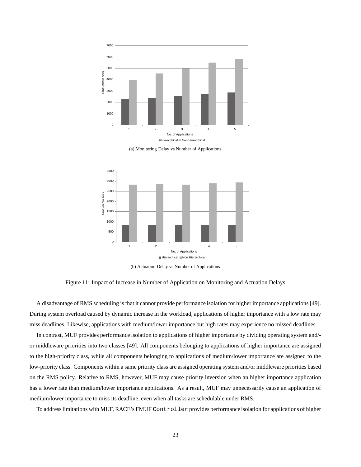





(b) Actuation Delay vs Number of Applications

Figure 11: Impact of Increase in Number of Application on Monitoring and Actuation Delays

A disadvantage of RMS scheduling is that it cannot provide performance isolation for higher importance applications [49]. During system overload caused by dynamic increase in the workload, applications of higher importance with a low rate may miss deadlines. Likewise, applications with medium/lower importance but high rates may experience no missed deadlines.

In contrast, MUF provides performance isolation to applications of higher importance by dividing operating system and/ or middleware priorities into two classes [49]. All components belonging to applications of higher importance are assigned to the high-priority class, while all components belonging to applications of medium/lower importance are assigned to the low-priority class. Components within a same priority class are assigned operating system and/or middleware priorities based on the RMS policy. Relative to RMS, however, MUF may cause priority inversion when an higher importance application has a lower rate than medium/lower importance applications. As a result, MUF may unnecessarily cause an application of medium/lower importance to miss its deadline, even when all tasks are schedulable under RMS.

To addresslimitations with MUF, RACE's FMUF Controller provides performance isolation for applications of higher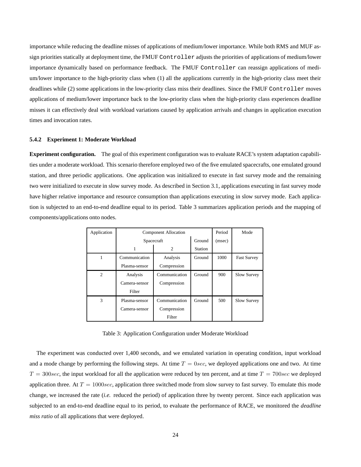importance while reducing the deadline misses of applications of medium/lower importance. While both RMS and MUF assign priorities statically at deployment time, the FMUF Controller adjusts the priorities of applications of medium/lower importance dynamically based on performance feedback. The FMUF Controller can reassign applications of medium/lower importance to the high-priority class when (1) all the applications currently in the high-priority class meet their deadlines while (2) some applications in the low-priority class miss their deadlines. Since the FMUF Controller moves applications of medium/lower importance back to the low-priority class when the high-priority class experiences deadline misses it can effectively deal with workload variations caused by application arrivals and changes in application execution times and invocation rates.

#### **5.4.2 Experiment 1: Moderate Workload**

**Experiment configuration.** The goal of this experiment configuration was to evaluate RACE's system adaptation capabilities under a moderate workload. This scenario therefore employed two of the five emulated spacecrafts, one emulated ground station, and three periodic applications. One application was initialized to execute in fast survey mode and the remaining two were initialized to execute in slow survey mode. As described in Section 3.1, applications executing in fast survey mode have higher relative importance and resource consumption than applications executing in slow survey mode. Each application is subjected to an end-to-end deadline equal to its period. Table 3 summarizes application periods and the mapping of components/applications onto nodes.

| Application    | <b>Component Allocation</b> | Period        | Mode    |        |                    |
|----------------|-----------------------------|---------------|---------|--------|--------------------|
|                | Spacecraft                  |               | Ground  | (msec) |                    |
|                |                             | 2             | Station |        |                    |
| 1              | Communication               | Analysis      | Ground  | 1000   | <b>Fast Survey</b> |
|                | Plasma-sensor               | Compression   |         |        |                    |
| $\overline{c}$ | Communication<br>Analysis   |               | Ground  | 900    | <b>Slow Survey</b> |
|                | Camera-sensor               | Compression   |         |        |                    |
|                | Filter                      |               |         |        |                    |
| 3              | Plasma-sensor               | Communication | Ground  | 500    | Slow Survey        |
|                | Camera-sensor               | Compression   |         |        |                    |
|                |                             | Filter        |         |        |                    |

Table 3: Application Configuration under Moderate Workload

The experiment was conducted over 1,400 seconds, and we emulated variation in operating condition, input workload and a mode change by performing the following steps. At time  $T = 0$ sec, we deployed applications one and two. At time  $T = 300$ sec, the input workload for all the application were reduced by ten percent, and at time  $T = 700$ sec we deployed application three. At  $T = 1000$  sec, application three switched mode from slow survey to fast survey. To emulate this mode change, we increased the rate (*i.e.* reduced the period) of application three by twenty percent. Since each application was subjected to an end-to-end deadline equal to its period, to evaluate the performance of RACE, we monitored the *deadline miss ratio* of all applications that were deployed.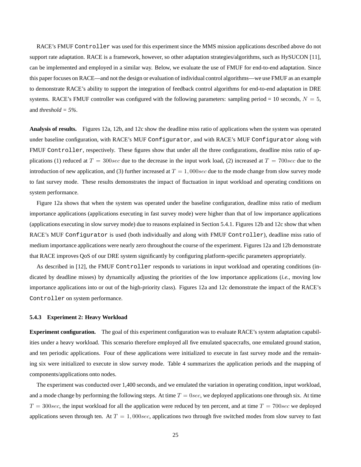RACE's FMUF Controller was used for this experiment since the MMS mission applications described above do not support rate adaptation. RACE is a framework, however, so other adaptation strategies/algorithms, such as HySUCON [11], can be implemented and employed in a similar way. Below, we evaluate the use of FMUF for end-to-end adaptation. Since this paper focuses on RACE—and not the design or evaluation of individual control algorithms—we use FMUF as an example to demonstrate RACE's ability to support the integration of feedback control algorithms for end-to-end adaptation in DRE systems. RACE's FMUF controller was configured with the following parameters: sampling period = 10 seconds,  $N = 5$ , and *threshold = 5%*.

**Analysis of results.** Figures 12a, 12b, and 12c show the deadline miss ratio of applications when the system was operated under baseline configuration, with RACE's MUF Configurator, and with RACE's MUF Configurator along with FMUF Controller, respectively. These figures show that under all the three configurations, deadline miss ratio of applications (1) reduced at  $T = 300$ sec due to the decrease in the input work load, (2) increased at  $T = 700$ sec due to the introduction of new application, and (3) further increased at  $T = 1,000$  sec due to the mode change from slow survey mode to fast survey mode. These results demonstrates the impact of fluctuation in input workload and operating conditions on system performance.

Figure 12a shows that when the system was operated under the baseline configuration, deadline miss ratio of medium importance applications (applications executing in fast survey mode) were higher than that of low importance applications (applications executing in slow survey mode) due to reasons explained in Section 5.4.1. Figures 12b and 12c show that when RACE's MUF Configurator is used (both individually and along with FMUF Controller), deadline miss ratio of medium importance applications were nearly zero throughout the course of the experiment. Figures 12a and 12b demonstrate that RACE improves QoS of our DRE system significantly by configuring platform-specific parameters appropriately.

As described in [12], the FMUF Controller responds to variations in input workload and operating conditions (indicated by deadline misses) by dynamically adjusting the priorities of the low importance applications (*i.e.*, moving low importance applications into or out of the high-priority class). Figures 12a and 12c demonstrate the impact of the RACE's Controller on system performance.

#### **5.4.3 Experiment 2: Heavy Workload**

**Experiment configuration.** The goal of this experiment configuration was to evaluate RACE's system adaptation capabilities under a heavy workload. This scenario therefore employed all five emulated spacecrafts, one emulated ground station, and ten periodic applications. Four of these applications were initialized to execute in fast survey mode and the remaining six were initialized to execute in slow survey mode. Table 4 summarizes the application periods and the mapping of components/applications onto nodes.

The experiment was conducted over 1,400 seconds, and we emulated the variation in operating condition, input workload, and a mode change by performing the following steps. At time  $T = 0$ sec, we deployed applications one through six. At time  $T = 300$ sec, the input workload for all the application were reduced by ten percent, and at time  $T = 700$ sec we deployed applications seven through ten. At  $T = 1,000$  sec, applications two through five switched modes from slow survey to fast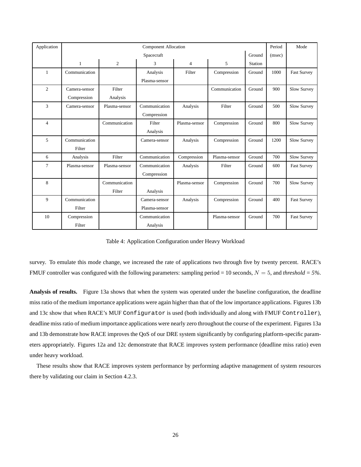| Application    | <b>Component Allocation</b> |                |               |                | Period        | Mode    |      |                    |
|----------------|-----------------------------|----------------|---------------|----------------|---------------|---------|------|--------------------|
|                | Ground<br>Spacecraft        |                |               |                | (msec)        |         |      |                    |
|                | 1                           | $\overline{c}$ | 3             | $\overline{4}$ | 5             | Station |      |                    |
| $\mathbf{1}$   | Communication               |                | Analysis      | Filter         | Compression   | Ground  | 1000 | <b>Fast Survey</b> |
|                |                             |                | Plasma-sensor |                |               |         |      |                    |
| $\overline{2}$ | Camera-sensor               | Filter         |               |                | Communication | Ground  | 900  | Slow Survey        |
|                | Compression                 | Analysis       |               |                |               |         |      |                    |
| 3              | Camera-sensor               | Plasma-sensor  | Communication | Analysis       | Filter        | Ground  | 500  | Slow Survey        |
|                |                             |                | Compression   |                |               |         |      |                    |
| $\overline{4}$ |                             | Communication  | Filter        | Plasma-sensor  | Compression   | Ground  | 800  | Slow Survey        |
|                |                             |                | Analysis      |                |               |         |      |                    |
| 5              | Communication               |                | Camera-sensor | Analysis       | Compression   | Ground  | 1200 | Slow Survey        |
|                | Filter                      |                |               |                |               |         |      |                    |
| 6              | Analysis                    | Filter         | Communication | Compression    | Plasma-sensor | Ground  | 700  | Slow Survey        |
| 7              | Plasma-sensor               | Plasma-sensor  | Communication | Analysis       | Filter        | Ground  | 600  | <b>Fast Survey</b> |
|                |                             |                | Compression   |                |               |         |      |                    |
| 8              |                             | Communication  |               | Plasma-sensor  | Compression   | Ground  | 700  | Slow Survey        |
|                |                             | Filter         | Analysis      |                |               |         |      |                    |
| 9              | Communication               |                | Camera-sensor | Analysis       | Compression   | Ground  | 400  | <b>Fast Survey</b> |
|                | Filter                      |                | Plasma-sensor |                |               |         |      |                    |
| 10             | Compression                 |                | Communication |                | Plasma-sensor | Ground  | 700  | <b>Fast Survey</b> |
|                | Filter                      |                | Analysis      |                |               |         |      |                    |

Table 4: Application Configuration under Heavy Workload

survey. To emulate this mode change, we increased the rate of applications two through five by twenty percent. RACE's FMUF controller was configured with the following parameters: sampling period = 10 seconds,  $N = 5$ , and *threshold* = 5%.

**Analysis of results.** Figure 13a shows that when the system was operated under the baseline configuration, the deadline miss ratio of the medium importance applications were again higher than that of the low importance applications. Figures 13b and 13c show that when RACE's MUF Configurator is used (both individually and along with FMUF Controller), deadline miss ratio of medium importance applications were nearly zero throughout the course of the experiment. Figures 13a and 13b demonstrate how RACE improves the QoS of our DRE system significantly by configuring platform-specific parameters appropriately. Figures 12a and 12c demonstrate that RACE improves system performance (deadline miss ratio) even under heavy workload.

These results show that RACE improves system performance by performing adaptive management of system resources there by validating our claim in Section 4.2.3.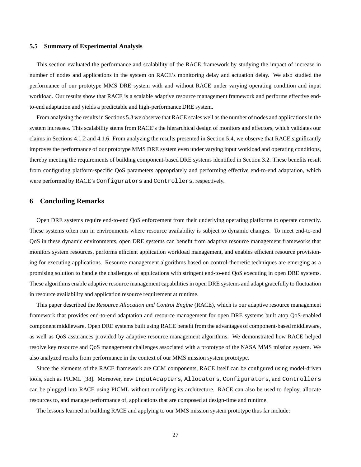#### **5.5 Summary of Experimental Analysis**

This section evaluated the performance and scalability of the RACE framework by studying the impact of increase in number of nodes and applications in the system on RACE's monitoring delay and actuation delay. We also studied the performance of our prototype MMS DRE system with and without RACE under varying operating condition and input workload. Our results show that RACE is a scalable adaptive resource management framework and performs effective endto-end adaptation and yields a predictable and high-performance DRE system.

From analyzing the results in Sections 5.3 we observe that RACE scales well as the number of nodes and applicationsin the system increases. This scalability stems from RACE's the hierarchical design of monitors and effectors, which validates our claims in Sections 4.1.2 and 4.1.6. From analyzing the results presented in Section 5.4, we observe that RACE significantly improves the performance of our prototype MMS DRE system even under varying input workload and operating conditions, thereby meeting the requirements of building component-based DRE systems identified in Section 3.2. These benefits result from configuring platform-specific QoS parameters appropriately and performing effective end-to-end adaptation, which were performed by RACE's Configurators and Controllers, respectively.

## **6 Concluding Remarks**

Open DRE systems require end-to-end QoS enforcement from their underlying operating platforms to operate correctly. These systems often run in environments where resource availability is subject to dynamic changes. To meet end-to-end QoS in these dynamic environments, open DRE systems can benefit from adaptive resource management frameworks that monitors system resources, performs efficient application workload management, and enables efficient resource provisioning for executing applications. Resource management algorithms based on control-theoretic techniques are emerging as a promising solution to handle the challenges of applications with stringent end-to-end QoS executing in open DRE systems. These algorithms enable adaptive resource management capabilities in open DRE systems and adapt gracefully to fluctuation in resource availability and application resource requirement at runtime.

This paper described the *Resource Allocation and Control Engine* (RACE), which is our adaptive resource management framework that provides end-to-end adaptation and resource management for open DRE systems built atop QoS-enabled component middleware. Open DRE systems built using RACE benefit from the advantages of component-based middleware, as well as QoS assurances provided by adaptive resource management algorithms. We demonstrated how RACE helped resolve key resource and QoS management challenges associated with a prototype of the NASA MMS mission system. We also analyzed results from performance in the context of our MMS mission system prototype.

Since the elements of the RACE framework are CCM components, RACE itself can be configured using model-driven tools, such as PICML [38]. Moreover, new InputAdapters, Allocators, Configurators, and Controllers can be plugged into RACE using PICML without modifying its architecture. RACE can also be used to deploy, allocate resources to, and manage performance of, applications that are composed at design-time and runtime.

The lessons learned in building RACE and applying to our MMS mission system prototype thus far include: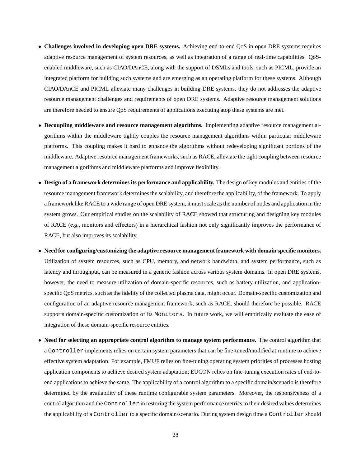- **Challenges involved in developing open DRE systems.** Achieving end-to-end QoS in open DRE systems requires adaptive resource management of system resources, as well as integration of a range of real-time capabilities. QoSenabled middleware, such as CIAO/DAnCE, along with the support of DSMLs and tools, such as PICML, provide an integrated platform for building such systems and are emerging as an operating platform for these systems. Although CIAO/DAnCE and PICML alleviate many challenges in building DRE systems, they do not addresses the adaptive resource management challenges and requirements of open DRE systems. Adaptive resource management solutions are therefore needed to ensure QoS requirements of applications executing atop these systems are met.
- **Decoupling middleware and resource management algorithms.** Implementing adaptive resource management algorithms within the middleware tightly couples the resource management algorithms within particular middleware platforms. This coupling makes it hard to enhance the algorithms without redeveloping significant portions of the middleware. Adaptive resource management frameworks, such as RACE, alleviate the tight coupling between resource management algorithms and middleware platforms and improve flexibility.
- **Design of a framework determines its performance and applicability.** The design of key modules and entities of the resource management framework determines the scalability, and therefore the applicability, of the framework. To apply a framework like RACE to a wide range of open DRE system, it must scale as the number of nodes and application in the system grows. Our empirical studies on the scalability of RACE showed that structuring and designing key modules of RACE (*e.g.*, monitors and effectors) in a hierarchical fashion not only significantly improves the performance of RACE, but also improves its scalability.
- **Need for configuring/customizing the adaptive resource management framework with domain specific monitors.** Utilization of system resources, such as CPU, memory, and network bandwidth, and system performance, such as latency and throughput, can be measured in a generic fashion across various system domains. In open DRE systems, however, the need to measure utilization of domain-specific resources, such as battery utilization, and applicationspecific QoS metrics, such as the fidelity of the collected plasma data, might occur. Domain-specific customization and configuration of an adaptive resource management framework, such as RACE, should therefore be possible. RACE supports domain-specific customization of its Monitors. In future work, we will empirically evaluate the ease of integration of these domain-specific resource entities.
- **Need for selecting an appropriate control algorithm to manage system performance.** The control algorithm that a Controller implements relies on certain system parameters that can be fine-tuned/modified at runtime to achieve effective system adaptation. For example, FMUF relies on fine-tuning operating system priorities of processes hosting application components to achieve desired system adaptation; EUCON relies on fine-tuning execution rates of end-toend applications to achieve the same. The applicability of a control algorithm to a specific domain/scenario is therefore determined by the availability of these runtime configurable system parameters. Moreover, the responsiveness of a control algorithm and the Controller in restoring the system performance metrics to their desired values determines the applicability of a Controller to a specific domain/scenario. During system design time a Controller should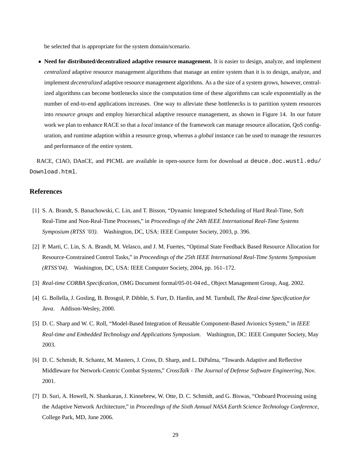be selected that is appropriate for the system domain/scenario.

• **Need for distributed/decentralized adaptive resource management.** It is easier to design, analyze, and implement *centralized* adaptive resource management algorithms that manage an entire system than it is to design, analyze, and implement *decentralized* adaptive resource management algorithms. As a the size of a system grows, however, centralized algorithms can become bottlenecks since the computation time of these algorithms can scale exponentially as the number of end-to-end applications increases. One way to alleviate these bottlenecks is to partition system resources into *resource groups* and employ hierarchical adaptive resource management, as shown in Figure 14. In our future work we plan to enhance RACE so that a *local* instance of the framework can manage resource allocation, QoS configuration, and runtime adaption within a resource group, whereas a *global* instance can be used to manage the resources and performance of the entire system.

RACE, CIAO, DAnCE, and PICML are available in open-source form for download at deuce.doc.wustl.edu/ Download.html.

# **References**

- [1] S. A. Brandt, S. Banachowski, C. Lin, and T. Bisson, "Dynamic Integrated Scheduling of Hard Real-Time, Soft Real-Time and Non-Real-Time Processes," in *Proceedings of the 24th IEEE International Real-Time Systems Symposium (RTSS '03)*. Washington, DC, USA: IEEE Computer Society, 2003, p. 396.
- [2] P. Marti, C. Lin, S. A. Brandt, M. Velasco, and J. M. Fuertes, "Optimal State Feedback Based Resource Allocation for Resource-Constrained Control Tasks," in *Proceedings of the 25th IEEE International Real-Time Systems Symposium (RTSS'04)*. Washington, DC, USA: IEEE Computer Society, 2004, pp. 161–172.
- [3] *Real-time CORBA Specification*, OMG Document formal/05-01-04 ed., Object Management Group, Aug. 2002.
- [4] G. Bollella, J. Gosling, B. Brosgol, P. Dibble, S. Furr, D. Hardin, and M. Turnbull, *The Real-time Specification for Java*. Addison-Wesley, 2000.
- [5] D. C. Sharp and W. C. Roll, "Model-Based Integration of Reusable Component-Based Avionics System," in *IEEE Real-time and Embedded Technology and Applications Symposium*. Washington, DC: IEEE Computer Society, May 2003.
- [6] D. C. Schmidt, R. Schantz, M. Masters, J. Cross, D. Sharp, and L. DiPalma, "Towards Adaptive and Reflective Middleware for Network-Centric Combat Systems," *CrossTalk - The Journal of Defense Software Engineering*, Nov. 2001.
- [7] D. Suri, A. Howell, N. Shankaran, J. Kinnebrew, W. Otte, D. C. Schmidt, and G. Biswas, "Onboard Processing using the Adaptive Network Architecture," in *Proceedings of the Sixth Annual NASA Earth Science Technology Conference*, College Park, MD, June 2006.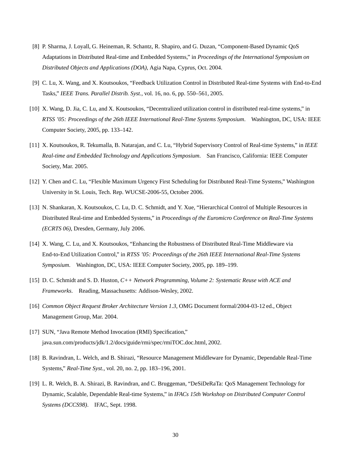- [8] P. Sharma, J. Loyall, G. Heineman, R. Schantz, R. Shapiro, and G. Duzan, "Component-Based Dynamic QoS Adaptations in Distributed Real-time and Embedded Systems," in *Proceedings of the International Symposium on Distributed Objects and Applications (DOA)*, Agia Napa, Cyprus, Oct. 2004.
- [9] C. Lu, X. Wang, and X. Koutsoukos, "Feedback Utilization Control in Distributed Real-time Systems with End-to-End Tasks," *IEEE Trans. Parallel Distrib. Syst.*, vol. 16, no. 6, pp. 550–561, 2005.
- [10] X. Wang, D. Jia, C. Lu, and X. Koutsoukos, "Decentralized utilization control in distributed real-time systems," in *RTSS '05: Proceedings of the 26th IEEE International Real-Time Systems Symposium*. Washington, DC, USA: IEEE Computer Society, 2005, pp. 133–142.
- [11] X. Koutsoukos, R. Tekumalla, B. Natarajan, and C. Lu, "Hybrid Supervisory Control of Real-time Systems," in *IEEE Real-time and Embedded Technology and Applications Symposium*. San Francisco, California: IEEE Computer Society, Mar. 2005.
- [12] Y. Chen and C. Lu, "Flexible Maximum Urgency First Scheduling for Distributed Real-Time Systems," Washington University in St. Louis, Tech. Rep. WUCSE-2006-55, October 2006.
- [13] N. Shankaran, X. Koutsoukos, C. Lu, D. C. Schmidt, and Y. Xue, "Hierarchical Control of Multiple Resources in Distributed Real-time and Embedded Systems," in *Proceedings of the Euromicro Conference on Real-Time Systems (ECRTS 06)*, Dresden, Germany, July 2006.
- [14] X. Wang, C. Lu, and X. Koutsoukos, "Enhancing the Robustness of Distributed Real-Time Middleware via End-to-End Utilization Control," in *RTSS '05: Proceedings of the 26th IEEE International Real-Time Systems Symposium*. Washington, DC, USA: IEEE Computer Society, 2005, pp. 189–199.
- [15] D. C. Schmidt and S. D. Huston, *C++ Network Programming, Volume 2: Systematic Reuse with ACE and Frameworks*. Reading, Massachusetts: Addison-Wesley, 2002.
- [16] *Common Object Request Broker Architecture Version 1.3*, OMG Document formal/2004-03-12 ed., Object Management Group, Mar. 2004.
- [17] SUN, "Java Remote Method Invocation (RMI) Specification," java.sun.com/products/jdk/1.2/docs/guide/rmi/spec/rmiTOC.doc.html, 2002.
- [18] B. Ravindran, L. Welch, and B. Shirazi, "Resource Management Middleware for Dynamic, Dependable Real-Time Systems," *Real-Time Syst.*, vol. 20, no. 2, pp. 183–196, 2001.
- [19] L. R. Welch, B. A. Shirazi, B. Ravindran, and C. Bruggeman, "DeSiDeRaTa: QoS Management Technology for Dynamic, Scalable, Dependable Real-time Systems," in *IFACs 15th Workshop on Distributed Computer Control Systems (DCCS98)*. IFAC, Sept. 1998.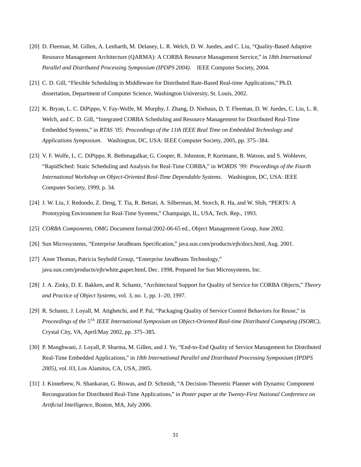- [20] D. Fleeman, M. Gillen, A. Lenharth, M. Delaney, L. R. Welch, D. W. Juedes, and C. Liu, "Quality-Based Adaptive Resource Management Architecture (QARMA): A CORBA Resource Management Service," in *18th International Parallel and Distributed Processing Symposium (IPDPS 2004)*. IEEE Computer Society, 2004.
- [21] C. D. Gill, "Flexible Scheduling in Middleware for Distributed Rate-Based Real-time Applications," Ph.D. dissertation, Department of Computer Science, Washington University, St. Louis, 2002.
- [22] K. Bryan, L. C. DiPippo, V. Fay-Wolfe, M. Murphy, J. Zhang, D. Niehaus, D. T. Fleeman, D. W. Juedes, C. Liu, L. R. Welch, and C. D. Gill, "Integrated CORBA Scheduling and Resource Management for Distributed Real-Time Embedded Systems," in *RTAS '05: Proceedings of the 11th IEEE Real Time on Embedded Technology and Applications Symposium*. Washington, DC, USA: IEEE Computer Society, 2005, pp. 375–384.
- [23] V. F. Wolfe, L. C. DiPippo, R. Bethmagalkar, G. Cooper, R. Johnston, P. Kortmann, B. Watson, and S. Wohlever, "RapidSched: Static Scheduling and Analysis for Real-Time CORBA," in *WORDS '99: Proceedings of the Fourth International Workshop on Object-Oriented Real-Time Dependable Systems*. Washington, DC, USA: IEEE Computer Society, 1999, p. 34.
- [24] J. W. Liu, J. Redondo, Z. Deng, T. Tia, R. Bettati, A. Silberman, M. Storch, R. Ha, and W. Shih, "PERTS: A Prototyping Environment for Real-Time Systems," Champaign, IL, USA, Tech. Rep., 1993.
- [25] *CORBA Components*, OMG Document formal/2002-06-65 ed., Object Management Group, June 2002.
- [26] Sun Microsystems, "Enterprise JavaBeans Specification," java.sun.com/products/ejb/docs.html, Aug. 2001.
- [27] Anne Thomas, Patricia Seybold Group, "Enterprise JavaBeans Technology," java.sun.com/products/ejb/white paper.html, Dec. 1998, Prepared for Sun Microsystems, Inc.
- [28] J. A. Zinky, D. E. Bakken, and R. Schantz, "Architectural Support for Quality of Service for CORBA Objects," *Theory and Practice of Object Systems*, vol. 3, no. 1, pp. 1–20, 1997.
- [29] R. Schantz, J. Loyall, M. Atighetchi, and P. Pal, "Packaging Quality of Service Control Behaviors for Reuse," in *Proceedings of the* 5 th *IEEE International Symposium on Object-Oriented Real-time Distributed Computing (ISORC)*, Crystal City, VA, April/May 2002, pp. 375–385.
- [30] P. Manghwani, J. Loyall, P. Sharma, M. Gillen, and J. Ye, "End-to-End Quality of Service Management for Distributed Real-Time Embedded Applications," in *18th International Parallel and Distributed Processing Symposium (IPDPS 2005)*, vol. 03, Los Alamitos, CA, USA, 2005.
- [31] J. Kinnebrew, N. Shankaran, G. Biswas, and D. Schmidt, "A Decision-Theoretic Planner with Dynamic Component Reconguration for Distributed Real-Time Applications," in *Poster paper at the Twenty-First National Conference on Artificial Intelligence*, Boston, MA, July 2006.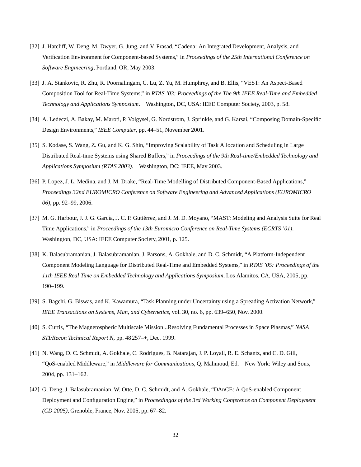- [32] J. Hatcliff, W. Deng, M. Dwyer, G. Jung, and V. Prasad, "Cadena: An Integrated Development, Analysis, and Verification Environment for Component-based Systems," in *Proceedings of the 25th International Conference on Software Engineering*, Portland, OR, May 2003.
- [33] J. A. Stankovic, R. Zhu, R. Poornalingam, C. Lu, Z. Yu, M. Humphrey, and B. Ellis, "VEST: An Aspect-Based Composition Tool for Real-Time Systems," in *RTAS '03: Proceedings of the The 9th IEEE Real-Time and Embedded Technology and Applications Symposium*. Washington, DC, USA: IEEE Computer Society, 2003, p. 58.
- [34] A. Ledeczi, A. Bakay, M. Maroti, P. Volgysei, G. Nordstrom, J. Sprinkle, and G. Karsai, "Composing Domain-Specific Design Environments," *IEEE Computer*, pp. 44–51, November 2001.
- [35] S. Kodase, S. Wang, Z. Gu, and K. G. Shin, "Improving Scalability of Task Allocation and Scheduling in Large Distributed Real-time Systems using Shared Buffers," in *Proceedings of the 9th Real-time/Embedded Technology and Applications Symposium (RTAS 2003)*. Washington, DC: IEEE, May 2003.
- [36] P. Lopez, J. L. Medina, and J. M. Drake, "Real-Time Modelling of Distributed Component-Based Applications," *Proceedings 32nd EUROMICRO Conference on Software Engineering and Advanced Applications (EUROMICRO 06)*, pp. 92–99, 2006.
- [37] M. G. Harbour, J. J. G. García, J. C. P. Gutiérrez, and J. M. D. Moyano, "MAST: Modeling and Analysis Suite for Real Time Applications," in *Proceedings of the 13th Euromicro Conference on Real-Time Systems (ECRTS '01)*. Washington, DC, USA: IEEE Computer Society, 2001, p. 125.
- [38] K. Balasubramanian, J. Balasubramanian, J. Parsons, A. Gokhale, and D. C. Schmidt, "A Platform-Independent Component Modeling Language for Distributed Real-Time and Embedded Systems," in *RTAS '05: Proceedings of the 11th IEEE Real Time on Embedded Technology and Applications Symposium*, Los Alamitos, CA, USA, 2005, pp. 190–199.
- [39] S. Bagchi, G. Biswas, and K. Kawamura, "Task Planning under Uncertainty using a Spreading Activation Network," *IEEE Transactions on Systems, Man, and Cybernetics*, vol. 30, no. 6, pp. 639–650, Nov. 2000.
- [40] S. Curtis, "The Magnetospheric Multiscale Mission...Resolving Fundamental Processes in Space Plasmas," *NASA STI/Recon Technical Report N*, pp. 48 257–+, Dec. 1999.
- [41] N. Wang, D. C. Schmidt, A. Gokhale, C. Rodrigues, B. Natarajan, J. P. Loyall, R. E. Schantz, and C. D. Gill, "QoS-enabled Middleware," in *Middleware for Communications*, Q. Mahmoud, Ed. New York: Wiley and Sons, 2004, pp. 131–162.
- [42] G. Deng, J. Balasubramanian, W. Otte, D. C. Schmidt, and A. Gokhale, "DAnCE: A QoS-enabled Component Deployment and Configuration Engine," in *Proceedingds of the 3rd Working Conference on Component Deployment (CD 2005)*, Grenoble, France, Nov. 2005, pp. 67–82.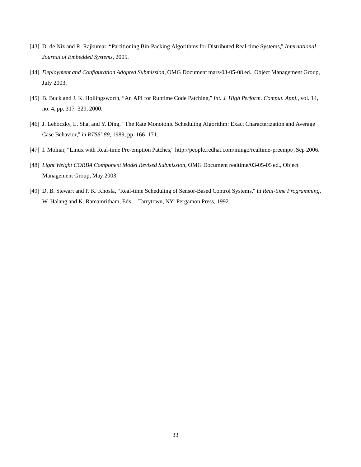- [43] D. de Niz and R. Rajkumar, "Partitioning Bin-Packing Algorithms for Distributed Real-time Systems," *International Journal of Embedded Systems*, 2005.
- [44] *Deployment and Configuration Adopted Submission*, OMG Document mars/03-05-08 ed., Object Management Group, July 2003.
- [45] B. Buck and J. K. Hollingsworth, "An API for Runtime Code Patching," *Int. J. High Perform. Comput. Appl.*, vol. 14, no. 4, pp. 317–329, 2000.
- [46] J. Lehoczky, L. Sha, and Y. Ding, "The Rate Monotonic Scheduling Algorithm: Exact Characterization and Average Case Behavior," in *RTSS' 89*, 1989, pp. 166–171.
- [47] I. Molnar, "Linux with Real-time Pre-emption Patches," http://people.redhat.com/mingo/realtime-preempt/, Sep 2006.
- [48] *Light Weight CORBA Component Model Revised Submission*, OMG Document realtime/03-05-05 ed., Object Management Group, May 2003.
- [49] D. B. Stewart and P. K. Khosla, "Real-time Scheduling of Sensor-Based Control Systems," in *Real-time Programming*, W. Halang and K. Ramamritham, Eds. Tarrytown, NY: Pergamon Press, 1992.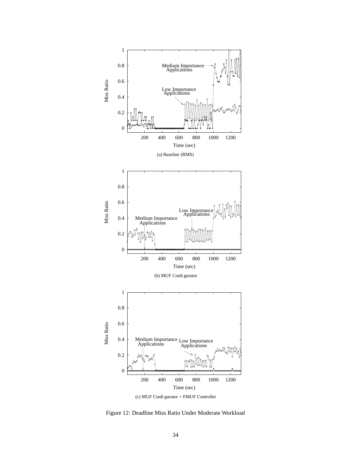

(c) MUF Configurator + FMUF Controller

Figure 12: Deadline Miss Ratio Under Moderate Workload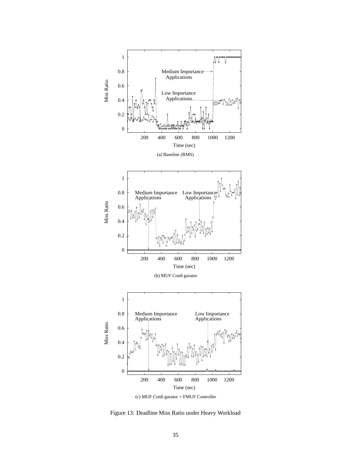

Figure 13: Deadline Miss Ratio under Heavy Workload

35